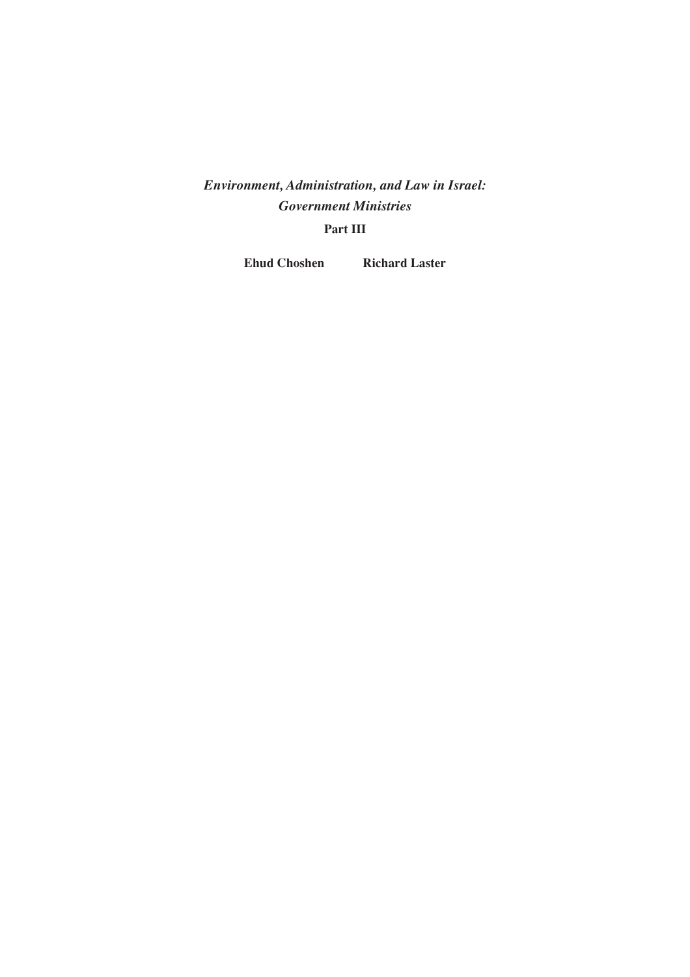# *Environment, Administration, and Law in Israel: Government Ministries*

## **Part III**

**Ehud Choshen Richard Laster**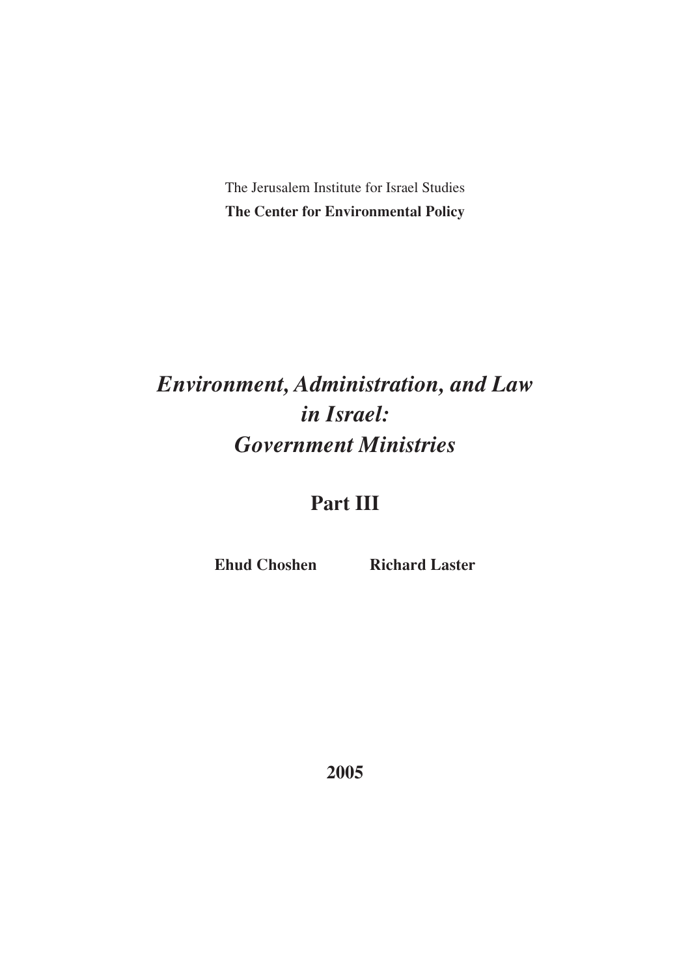The Jerusalem Institute for Israel Studies **The Center for Environmental Policy**

# *Environment, Administration, and Law in Israel: Government Ministries*

# **Part III**

**Ehud Choshen** Richard Laster

**2005**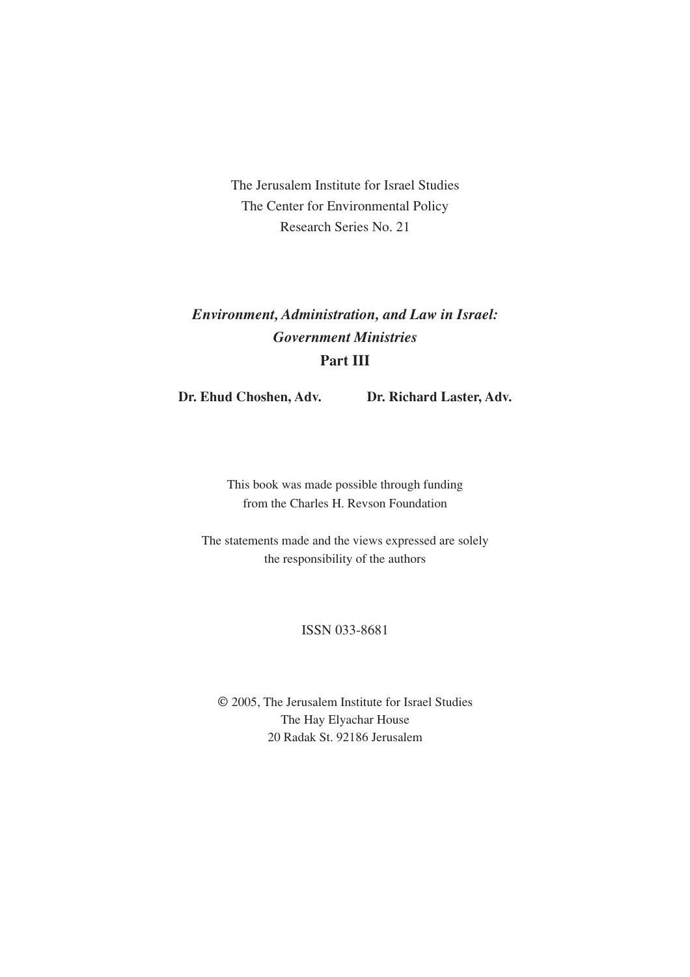The Jerusalem Institute for Israel Studies The Center for Environmental Policy Research Series No. 21

# *Environment, Administration, and Law in Israel: Government Ministries* **Part III**

**Dr. Ehud Choshen, Adv. Dr. Richard Laster, Adv.**

This book was made possible through funding from the Charles H. Revson Foundation

The statements made and the views expressed are solely the responsibility of the authors

#### ISSN 033-8681

© 2005, The Jerusalem Institute for Israel Studies The Hay Elyachar House 20 Radak St. 92186 Jerusalem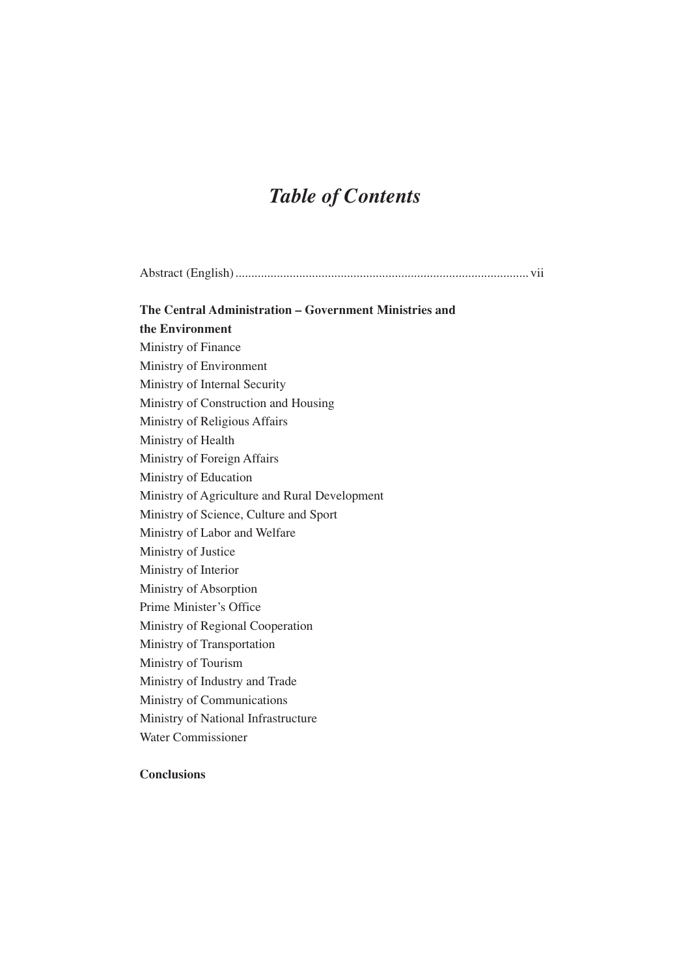# *Table of Contents*

| The Central Administration – Government Ministries and |
|--------------------------------------------------------|
| the Environment                                        |
| Ministry of Finance                                    |
| Ministry of Environment                                |
| Ministry of Internal Security                          |
| Ministry of Construction and Housing                   |
| Ministry of Religious Affairs                          |
| Ministry of Health                                     |
| Ministry of Foreign Affairs                            |
| Ministry of Education                                  |
| Ministry of Agriculture and Rural Development          |
| Ministry of Science, Culture and Sport                 |
| Ministry of Labor and Welfare                          |
| Ministry of Justice                                    |
| Ministry of Interior                                   |
| Ministry of Absorption                                 |
| Prime Minister's Office                                |
| Ministry of Regional Cooperation                       |
| Ministry of Transportation                             |
| Ministry of Tourism                                    |
| Ministry of Industry and Trade                         |
| Ministry of Communications                             |
| Ministry of National Infrastructure                    |
| <b>Water Commissioner</b>                              |
|                                                        |

### **Conclusions**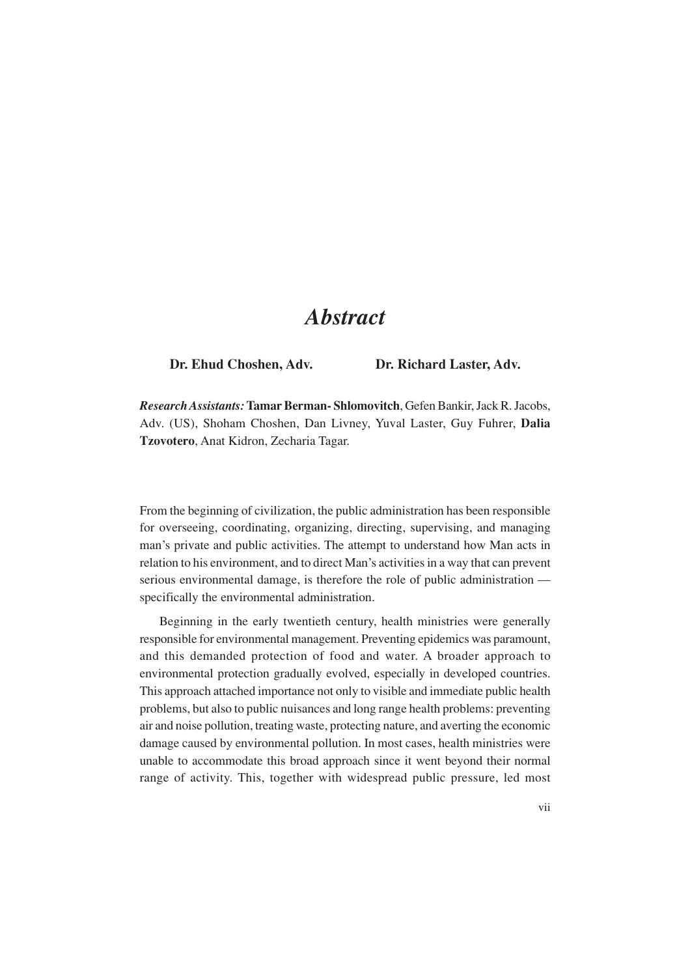## *Abstract*

#### **Dr. Ehud Choshen, Adv. Dr. Richard Laster, Adv.**

*Research Assistants:***Tamar Berman- Shlomovitch**, Gefen Bankir, Jack R. Jacobs, Adv. (US), Shoham Choshen, Dan Livney, Yuval Laster, Guy Fuhrer, **Dalia Tzovotero**, Anat Kidron, Zecharia Tagar.

From the beginning of civilization, the public administration has been responsible for overseeing, coordinating, organizing, directing, supervising, and managing man's private and public activities. The attempt to understand how Man acts in relation to his environment, and to direct Man's activities in a way that can prevent serious environmental damage, is therefore the role of public administration specifically the environmental administration.

Beginning in the early twentieth century, health ministries were generally responsible for environmental management. Preventing epidemics was paramount, and this demanded protection of food and water. A broader approach to environmental protection gradually evolved, especially in developed countries. This approach attached importance not only to visible and immediate public health problems, but also to public nuisances and long range health problems: preventing air and noise pollution, treating waste, protecting nature, and averting the economic damage caused by environmental pollution. In most cases, health ministries were unable to accommodate this broad approach since it went beyond their normal range of activity. This, together with widespread public pressure, led most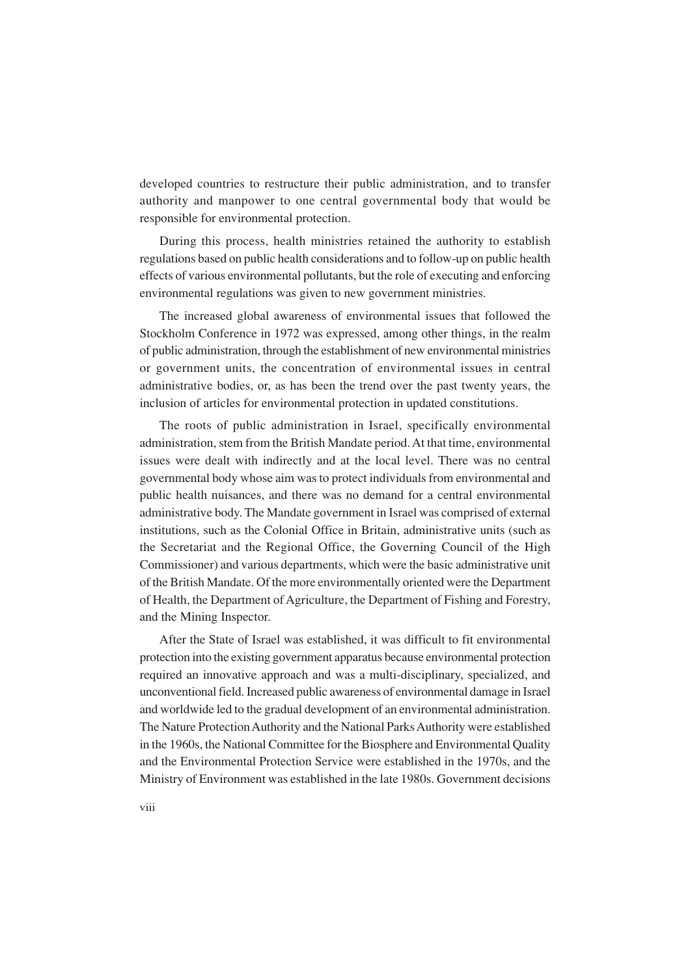developed countries to restructure their public administration, and to transfer authority and manpower to one central governmental body that would be responsible for environmental protection.

During this process, health ministries retained the authority to establish regulations based on public health considerations and to follow-up on public health effects of various environmental pollutants, but the role of executing and enforcing environmental regulations was given to new government ministries.

The increased global awareness of environmental issues that followed the Stockholm Conference in 1972 was expressed, among other things, in the realm of public administration, through the establishment of new environmental ministries or government units, the concentration of environmental issues in central administrative bodies, or, as has been the trend over the past twenty years, the inclusion of articles for environmental protection in updated constitutions.

The roots of public administration in Israel, specifically environmental administration, stem from the British Mandate period. At that time, environmental issues were dealt with indirectly and at the local level. There was no central governmental body whose aim was to protect individuals from environmental and public health nuisances, and there was no demand for a central environmental administrative body. The Mandate government in Israel was comprised of external institutions, such as the Colonial Office in Britain, administrative units (such as the Secretariat and the Regional Office, the Governing Council of the High Commissioner) and various departments, which were the basic administrative unit of the British Mandate. Of the more environmentally oriented were the Department of Health, the Department of Agriculture, the Department of Fishing and Forestry, and the Mining Inspector.

After the State of Israel was established, it was difficult to fit environmental protection into the existing government apparatus because environmental protection required an innovative approach and was a multi-disciplinary, specialized, and unconventional field. Increased public awareness of environmental damage in Israel and worldwide led to the gradual development of an environmental administration. The Nature Protection Authority and the National Parks Authority were established in the 1960s, the National Committee for the Biosphere and Environmental Quality and the Environmental Protection Service were established in the 1970s, and the Ministry of Environment was established in the late 1980s. Government decisions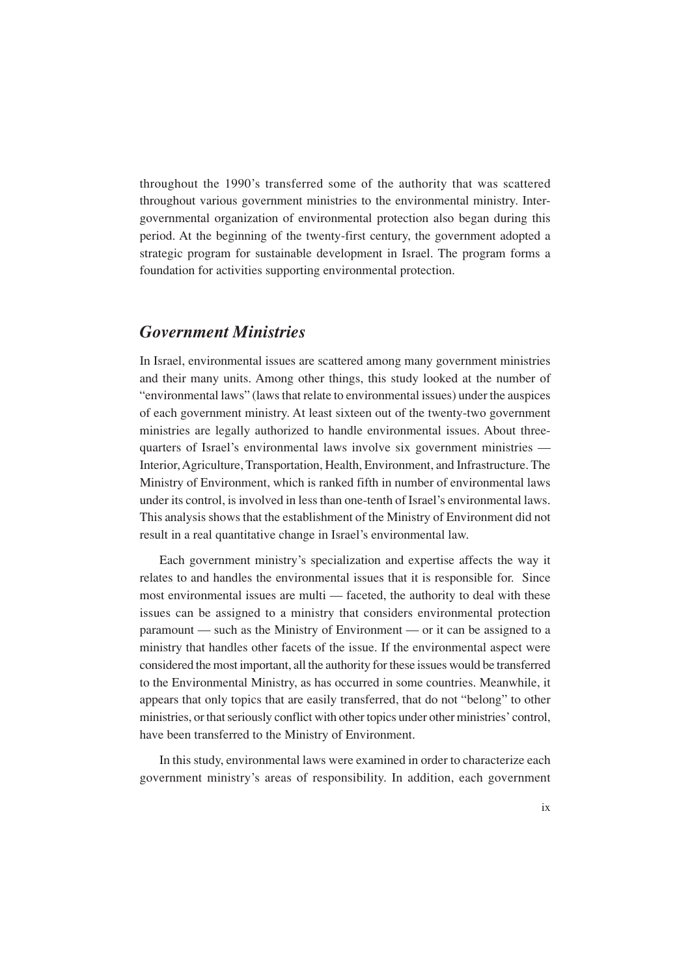throughout the 1990's transferred some of the authority that was scattered throughout various government ministries to the environmental ministry. Intergovernmental organization of environmental protection also began during this period. At the beginning of the twenty-first century, the government adopted a strategic program for sustainable development in Israel. The program forms a foundation for activities supporting environmental protection.

## *Government Ministries*

In Israel, environmental issues are scattered among many government ministries and their many units. Among other things, this study looked at the number of "environmental laws" (laws that relate to environmental issues) under the auspices of each government ministry. At least sixteen out of the twenty-two government ministries are legally authorized to handle environmental issues. About threequarters of Israel's environmental laws involve six government ministries — Interior, Agriculture, Transportation, Health, Environment, and Infrastructure. The Ministry of Environment, which is ranked fifth in number of environmental laws under its control, is involved in less than one-tenth of Israel's environmental laws. This analysis shows that the establishment of the Ministry of Environment did not result in a real quantitative change in Israel's environmental law.

Each government ministry's specialization and expertise affects the way it relates to and handles the environmental issues that it is responsible for. Since most environmental issues are multi — faceted, the authority to deal with these issues can be assigned to a ministry that considers environmental protection paramount — such as the Ministry of Environment — or it can be assigned to a ministry that handles other facets of the issue. If the environmental aspect were considered the most important, all the authority for these issues would be transferred to the Environmental Ministry, as has occurred in some countries. Meanwhile, it appears that only topics that are easily transferred, that do not "belong" to other ministries, or that seriously conflict with other topics under other ministries' control, have been transferred to the Ministry of Environment.

In this study, environmental laws were examined in order to characterize each government ministry's areas of responsibility. In addition, each government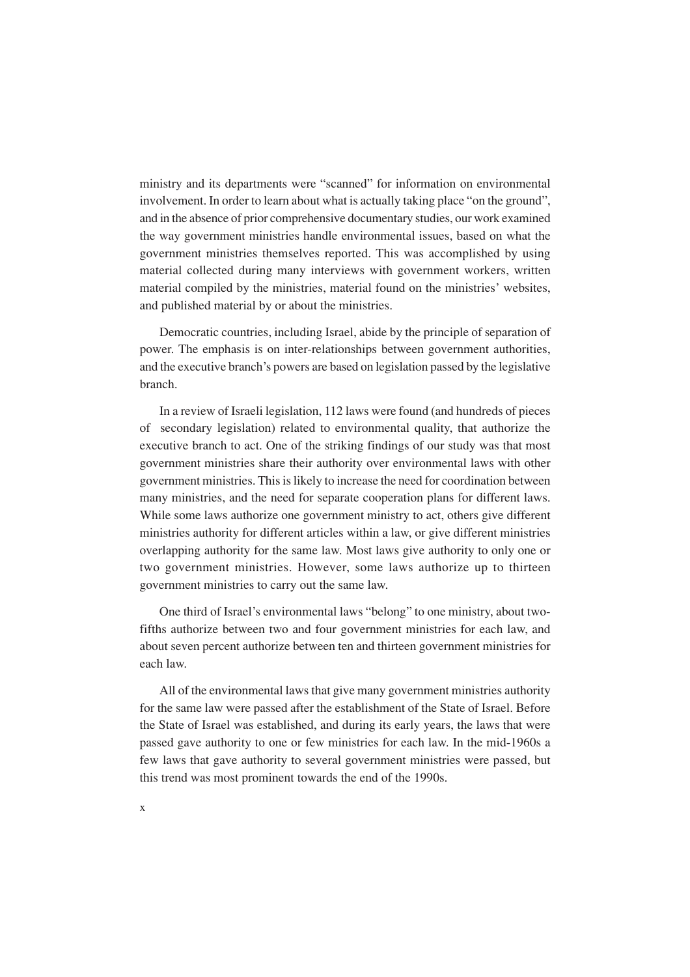ministry and its departments were "scanned" for information on environmental involvement. In order to learn about what is actually taking place "on the ground", and in the absence of prior comprehensive documentary studies, our work examined the way government ministries handle environmental issues, based on what the government ministries themselves reported. This was accomplished by using material collected during many interviews with government workers, written material compiled by the ministries, material found on the ministries' websites, and published material by or about the ministries.

Democratic countries, including Israel, abide by the principle of separation of power. The emphasis is on inter-relationships between government authorities, and the executive branch's powers are based on legislation passed by the legislative branch.

In a review of Israeli legislation, 112 laws were found (and hundreds of pieces of secondary legislation) related to environmental quality, that authorize the executive branch to act. One of the striking findings of our study was that most government ministries share their authority over environmental laws with other government ministries. This is likely to increase the need for coordination between many ministries, and the need for separate cooperation plans for different laws. While some laws authorize one government ministry to act, others give different ministries authority for different articles within a law, or give different ministries overlapping authority for the same law. Most laws give authority to only one or two government ministries. However, some laws authorize up to thirteen government ministries to carry out the same law.

One third of Israel's environmental laws "belong" to one ministry, about twofifths authorize between two and four government ministries for each law, and about seven percent authorize between ten and thirteen government ministries for each law.

All of the environmental laws that give many government ministries authority for the same law were passed after the establishment of the State of Israel. Before the State of Israel was established, and during its early years, the laws that were passed gave authority to one or few ministries for each law. In the mid-1960s a few laws that gave authority to several government ministries were passed, but this trend was most prominent towards the end of the 1990s.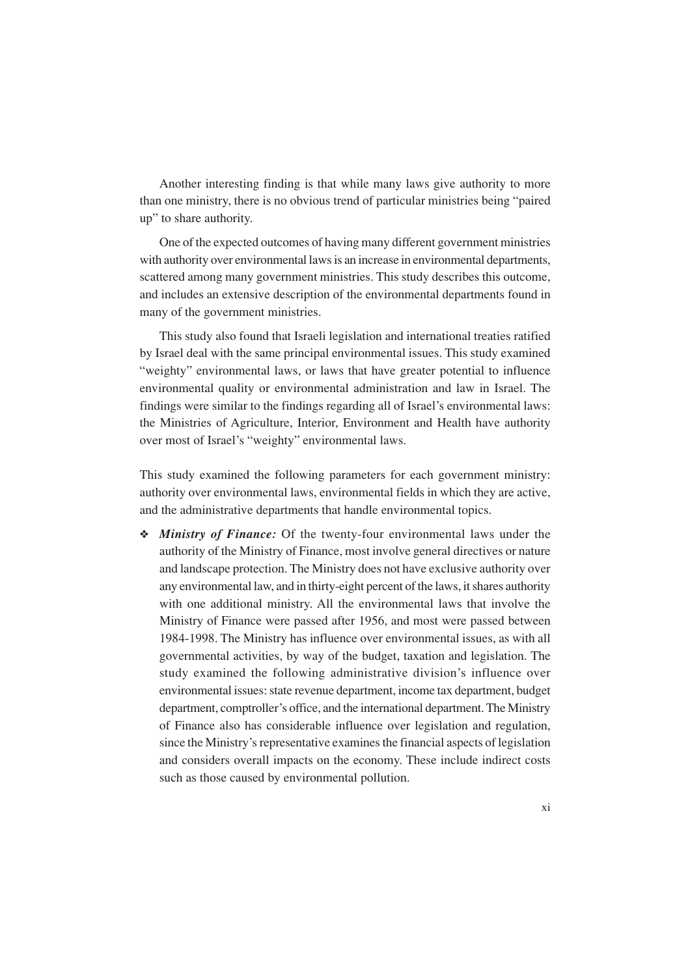Another interesting finding is that while many laws give authority to more than one ministry, there is no obvious trend of particular ministries being "paired up" to share authority.

One of the expected outcomes of having many different government ministries with authority over environmental laws is an increase in environmental departments, scattered among many government ministries. This study describes this outcome, and includes an extensive description of the environmental departments found in many of the government ministries.

This study also found that Israeli legislation and international treaties ratified by Israel deal with the same principal environmental issues. This study examined "weighty" environmental laws, or laws that have greater potential to influence environmental quality or environmental administration and law in Israel. The findings were similar to the findings regarding all of Israel's environmental laws: the Ministries of Agriculture, Interior, Environment and Health have authority over most of Israel's "weighty" environmental laws.

This study examined the following parameters for each government ministry: authority over environmental laws, environmental fields in which they are active, and the administrative departments that handle environmental topics.

❖ *Ministry of Finance:* Of the twenty-four environmental laws under the authority of the Ministry of Finance, most involve general directives or nature and landscape protection. The Ministry does not have exclusive authority over any environmental law, and in thirty-eight percent of the laws, it shares authority with one additional ministry. All the environmental laws that involve the Ministry of Finance were passed after 1956, and most were passed between 1984-1998. The Ministry has influence over environmental issues, as with all governmental activities, by way of the budget, taxation and legislation. The study examined the following administrative division's influence over environmental issues: state revenue department, income tax department, budget department, comptroller's office, and the international department. The Ministry of Finance also has considerable influence over legislation and regulation, since the Ministry's representative examines the financial aspects of legislation and considers overall impacts on the economy. These include indirect costs such as those caused by environmental pollution.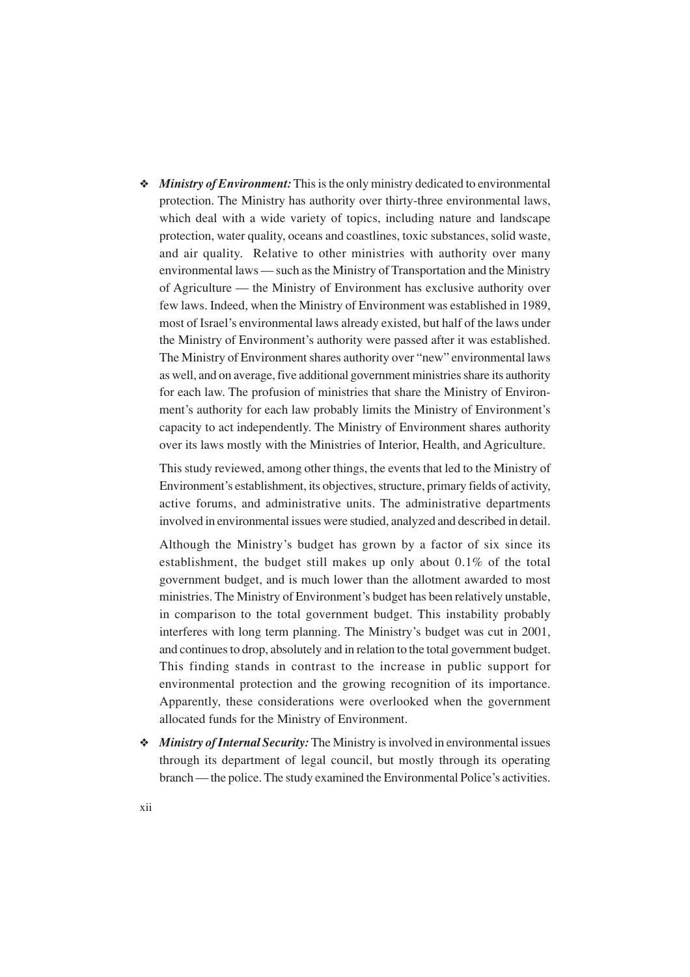❖ *Ministry of Environment:* This is the only ministry dedicated to environmental protection. The Ministry has authority over thirty-three environmental laws, which deal with a wide variety of topics, including nature and landscape protection, water quality, oceans and coastlines, toxic substances, solid waste, and air quality. Relative to other ministries with authority over many environmental laws — such as the Ministry of Transportation and the Ministry of Agriculture — the Ministry of Environment has exclusive authority over few laws. Indeed, when the Ministry of Environment was established in 1989, most of Israel's environmental laws already existed, but half of the laws under the Ministry of Environment's authority were passed after it was established. The Ministry of Environment shares authority over "new" environmental laws as well, and on average, five additional government ministries share its authority for each law. The profusion of ministries that share the Ministry of Environment's authority for each law probably limits the Ministry of Environment's capacity to act independently. The Ministry of Environment shares authority over its laws mostly with the Ministries of Interior, Health, and Agriculture.

This study reviewed, among other things, the events that led to the Ministry of Environment's establishment, its objectives, structure, primary fields of activity, active forums, and administrative units. The administrative departments involved in environmental issues were studied, analyzed and described in detail.

Although the Ministry's budget has grown by a factor of six since its establishment, the budget still makes up only about 0.1% of the total government budget, and is much lower than the allotment awarded to most ministries. The Ministry of Environment's budget has been relatively unstable, in comparison to the total government budget. This instability probably interferes with long term planning. The Ministry's budget was cut in 2001, and continues to drop, absolutely and in relation to the total government budget. This finding stands in contrast to the increase in public support for environmental protection and the growing recognition of its importance. Apparently, these considerations were overlooked when the government allocated funds for the Ministry of Environment.

❖ *Ministry of Internal Security:* The Ministry is involved in environmental issues through its department of legal council, but mostly through its operating branch — the police. The study examined the Environmental Police's activities.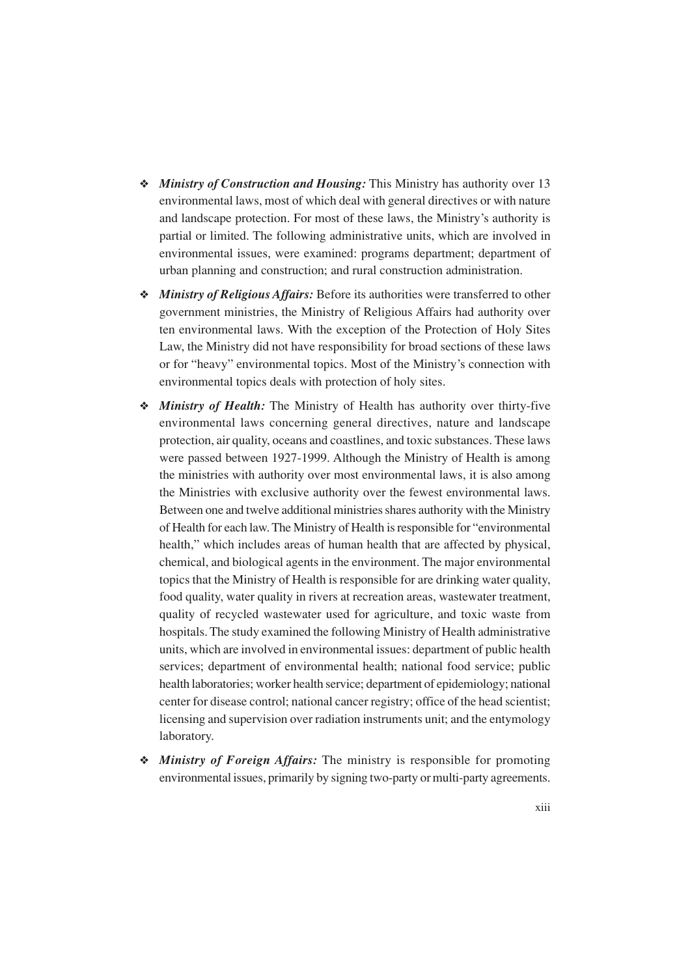- ❖ *Ministry of Construction and Housing:* This Ministry has authority over 13 environmental laws, most of which deal with general directives or with nature and landscape protection. For most of these laws, the Ministry's authority is partial or limited. The following administrative units, which are involved in environmental issues, were examined: programs department; department of urban planning and construction; and rural construction administration.
- ❖ *Ministry of Religious Affairs:* Before its authorities were transferred to other government ministries, the Ministry of Religious Affairs had authority over ten environmental laws. With the exception of the Protection of Holy Sites Law, the Ministry did not have responsibility for broad sections of these laws or for "heavy" environmental topics. Most of the Ministry's connection with environmental topics deals with protection of holy sites.
- ❖ *Ministry of Health:* The Ministry of Health has authority over thirty-five environmental laws concerning general directives, nature and landscape protection, air quality, oceans and coastlines, and toxic substances. These laws were passed between 1927-1999. Although the Ministry of Health is among the ministries with authority over most environmental laws, it is also among the Ministries with exclusive authority over the fewest environmental laws. Between one and twelve additional ministries shares authority with the Ministry of Health for each law. The Ministry of Health is responsible for "environmental health," which includes areas of human health that are affected by physical, chemical, and biological agents in the environment. The major environmental topics that the Ministry of Health is responsible for are drinking water quality, food quality, water quality in rivers at recreation areas, wastewater treatment, quality of recycled wastewater used for agriculture, and toxic waste from hospitals. The study examined the following Ministry of Health administrative units, which are involved in environmental issues: department of public health services; department of environmental health; national food service; public health laboratories; worker health service; department of epidemiology; national center for disease control; national cancer registry; office of the head scientist; licensing and supervision over radiation instruments unit; and the entymology laboratory.
- ❖ *Ministry of Foreign Affairs:* The ministry is responsible for promoting environmental issues, primarily by signing two-party or multi-party agreements.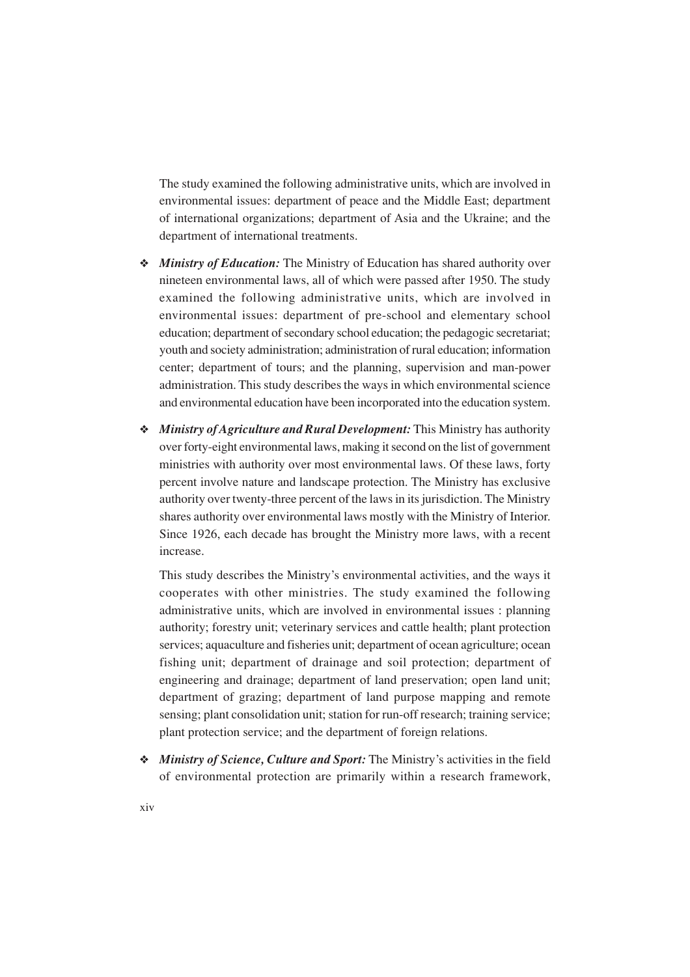The study examined the following administrative units, which are involved in environmental issues: department of peace and the Middle East; department of international organizations; department of Asia and the Ukraine; and the department of international treatments.

- ❖ *Ministry of Education:* The Ministry of Education has shared authority over nineteen environmental laws, all of which were passed after 1950. The study examined the following administrative units, which are involved in environmental issues: department of pre-school and elementary school education; department of secondary school education; the pedagogic secretariat; youth and society administration; administration of rural education; information center; department of tours; and the planning, supervision and man-power administration. This study describes the ways in which environmental science and environmental education have been incorporated into the education system.
- ❖ *Ministry of Agriculture and Rural Development:* This Ministry has authority over forty-eight environmental laws, making it second on the list of government ministries with authority over most environmental laws. Of these laws, forty percent involve nature and landscape protection. The Ministry has exclusive authority over twenty-three percent of the laws in its jurisdiction. The Ministry shares authority over environmental laws mostly with the Ministry of Interior. Since 1926, each decade has brought the Ministry more laws, with a recent increase.

This study describes the Ministry's environmental activities, and the ways it cooperates with other ministries. The study examined the following administrative units, which are involved in environmental issues : planning authority; forestry unit; veterinary services and cattle health; plant protection services; aquaculture and fisheries unit; department of ocean agriculture; ocean fishing unit; department of drainage and soil protection; department of engineering and drainage; department of land preservation; open land unit; department of grazing; department of land purpose mapping and remote sensing; plant consolidation unit; station for run-off research; training service; plant protection service; and the department of foreign relations.

❖ *Ministry of Science, Culture and Sport:* The Ministry's activities in the field of environmental protection are primarily within a research framework,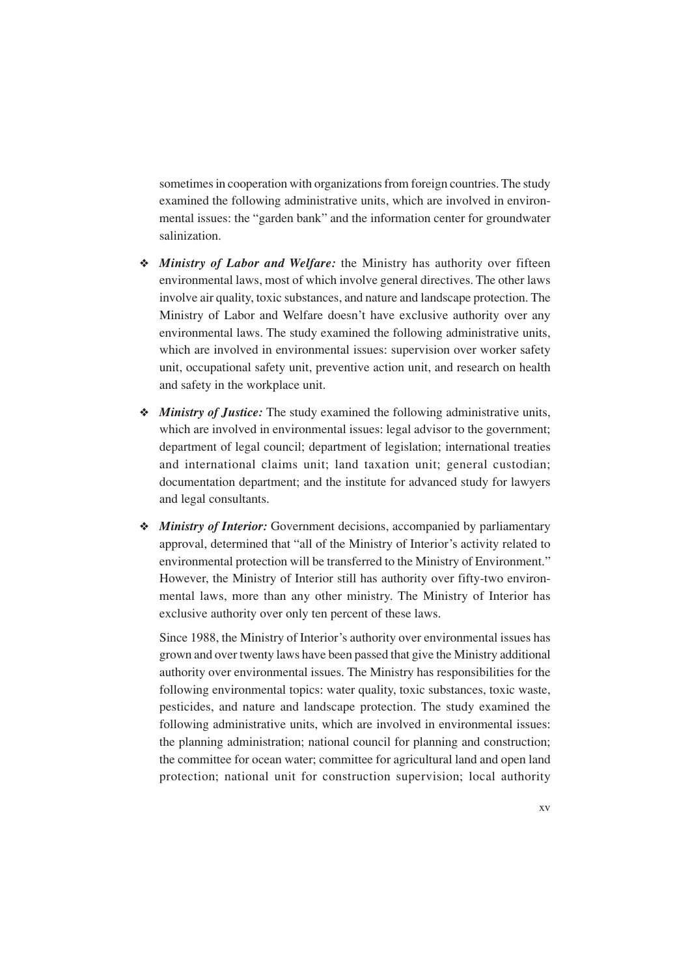sometimes in cooperation with organizations from foreign countries. The study examined the following administrative units, which are involved in environmental issues: the "garden bank" and the information center for groundwater salinization.

- ❖ *Ministry of Labor and Welfare:* the Ministry has authority over fifteen environmental laws, most of which involve general directives. The other laws involve air quality, toxic substances, and nature and landscape protection. The Ministry of Labor and Welfare doesn't have exclusive authority over any environmental laws. The study examined the following administrative units, which are involved in environmental issues: supervision over worker safety unit, occupational safety unit, preventive action unit, and research on health and safety in the workplace unit.
- ❖ *Ministry of Justice:* The study examined the following administrative units, which are involved in environmental issues: legal advisor to the government; department of legal council; department of legislation; international treaties and international claims unit; land taxation unit; general custodian; documentation department; and the institute for advanced study for lawyers and legal consultants.
- ❖ *Ministry of Interior:* Government decisions, accompanied by parliamentary approval, determined that "all of the Ministry of Interior's activity related to environmental protection will be transferred to the Ministry of Environment." However, the Ministry of Interior still has authority over fifty-two environmental laws, more than any other ministry. The Ministry of Interior has exclusive authority over only ten percent of these laws.

Since 1988, the Ministry of Interior's authority over environmental issues has grown and over twenty laws have been passed that give the Ministry additional authority over environmental issues. The Ministry has responsibilities for the following environmental topics: water quality, toxic substances, toxic waste, pesticides, and nature and landscape protection. The study examined the following administrative units, which are involved in environmental issues: the planning administration; national council for planning and construction; the committee for ocean water; committee for agricultural land and open land protection; national unit for construction supervision; local authority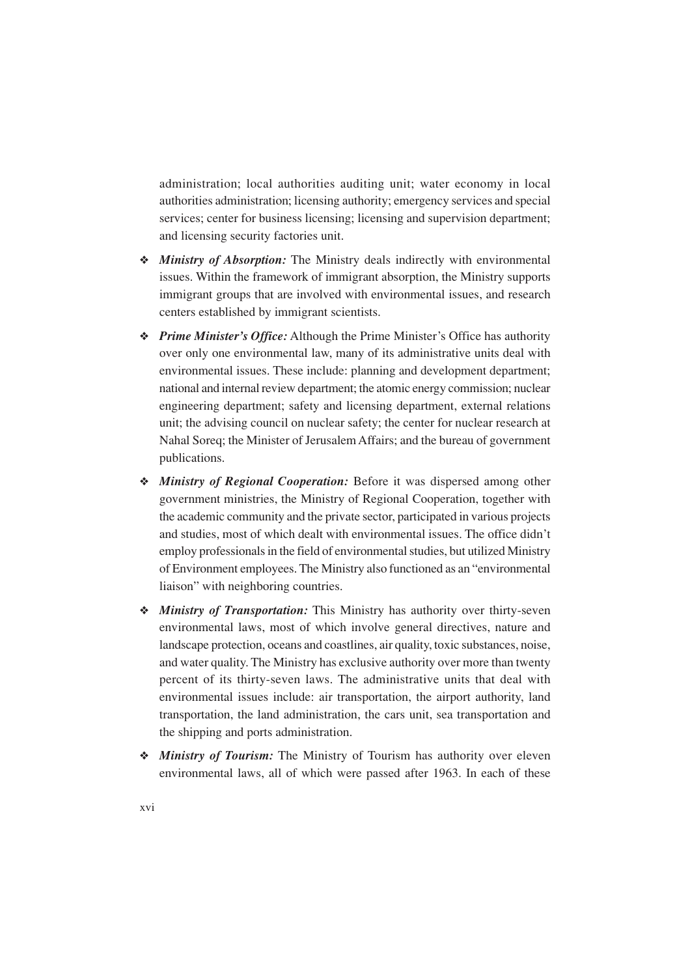administration; local authorities auditing unit; water economy in local authorities administration; licensing authority; emergency services and special services; center for business licensing; licensing and supervision department; and licensing security factories unit.

- ❖ *Ministry of Absorption:* The Ministry deals indirectly with environmental issues. Within the framework of immigrant absorption, the Ministry supports immigrant groups that are involved with environmental issues, and research centers established by immigrant scientists.
- ❖ *Prime Minister's Office:* Although the Prime Minister's Office has authority over only one environmental law, many of its administrative units deal with environmental issues. These include: planning and development department; national and internal review department; the atomic energy commission; nuclear engineering department; safety and licensing department, external relations unit; the advising council on nuclear safety; the center for nuclear research at Nahal Soreq; the Minister of Jerusalem Affairs; and the bureau of government publications.
- ❖ *Ministry of Regional Cooperation:* Before it was dispersed among other government ministries, the Ministry of Regional Cooperation, together with the academic community and the private sector, participated in various projects and studies, most of which dealt with environmental issues. The office didn't employ professionals in the field of environmental studies, but utilized Ministry of Environment employees. The Ministry also functioned as an "environmental liaison" with neighboring countries.
- ❖ *Ministry of Transportation:* This Ministry has authority over thirty-seven environmental laws, most of which involve general directives, nature and landscape protection, oceans and coastlines, air quality, toxic substances, noise, and water quality. The Ministry has exclusive authority over more than twenty percent of its thirty-seven laws. The administrative units that deal with environmental issues include: air transportation, the airport authority, land transportation, the land administration, the cars unit, sea transportation and the shipping and ports administration.
- ❖ *Ministry of Tourism:* The Ministry of Tourism has authority over eleven environmental laws, all of which were passed after 1963. In each of these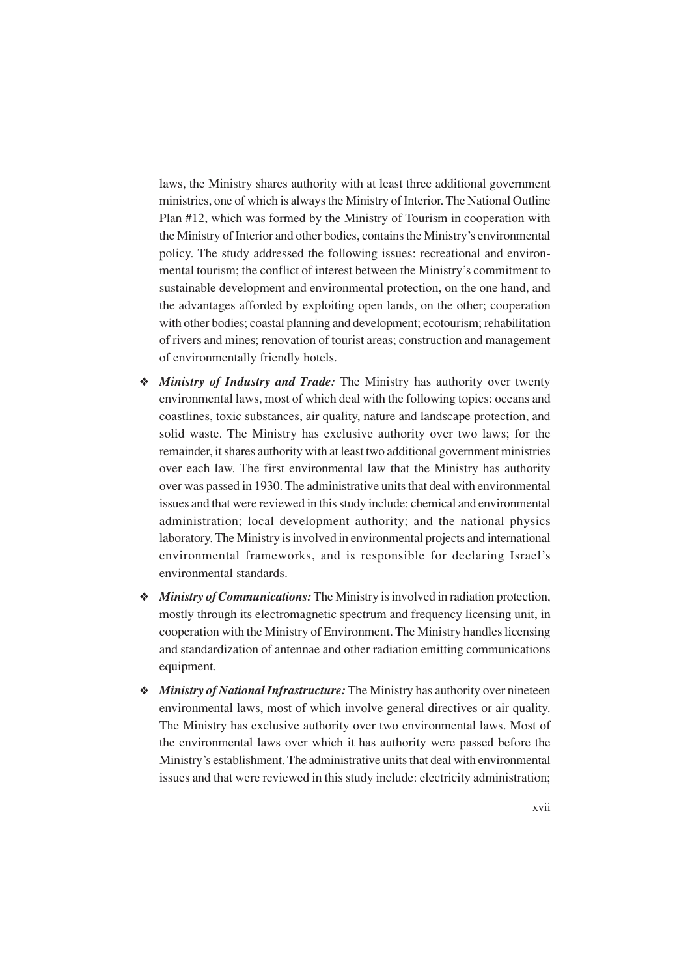laws, the Ministry shares authority with at least three additional government ministries, one of which is always the Ministry of Interior. The National Outline Plan #12, which was formed by the Ministry of Tourism in cooperation with the Ministry of Interior and other bodies, contains the Ministry's environmental policy. The study addressed the following issues: recreational and environmental tourism; the conflict of interest between the Ministry's commitment to sustainable development and environmental protection, on the one hand, and the advantages afforded by exploiting open lands, on the other; cooperation with other bodies; coastal planning and development; ecotourism; rehabilitation of rivers and mines; renovation of tourist areas; construction and management of environmentally friendly hotels.

- ❖ *Ministry of Industry and Trade:* The Ministry has authority over twenty environmental laws, most of which deal with the following topics: oceans and coastlines, toxic substances, air quality, nature and landscape protection, and solid waste. The Ministry has exclusive authority over two laws; for the remainder, it shares authority with at least two additional government ministries over each law. The first environmental law that the Ministry has authority over was passed in 1930. The administrative units that deal with environmental issues and that were reviewed in this study include: chemical and environmental administration; local development authority; and the national physics laboratory. The Ministry is involved in environmental projects and international environmental frameworks, and is responsible for declaring Israel's environmental standards.
- ❖ *Ministry of Communications:* The Ministry is involved in radiation protection, mostly through its electromagnetic spectrum and frequency licensing unit, in cooperation with the Ministry of Environment. The Ministry handles licensing and standardization of antennae and other radiation emitting communications equipment.
- ❖ *Ministry of National Infrastructure:* The Ministry has authority over nineteen environmental laws, most of which involve general directives or air quality. The Ministry has exclusive authority over two environmental laws. Most of the environmental laws over which it has authority were passed before the Ministry's establishment. The administrative units that deal with environmental issues and that were reviewed in this study include: electricity administration;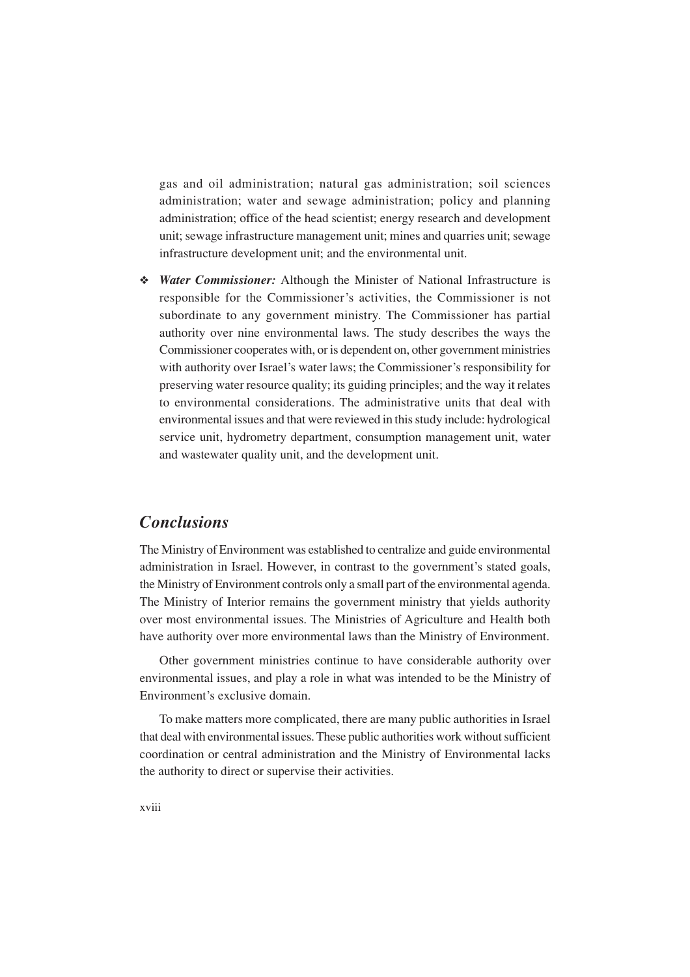gas and oil administration; natural gas administration; soil sciences administration; water and sewage administration; policy and planning administration; office of the head scientist; energy research and development unit; sewage infrastructure management unit; mines and quarries unit; sewage infrastructure development unit; and the environmental unit.

❖ *Water Commissioner:* Although the Minister of National Infrastructure is responsible for the Commissioner's activities, the Commissioner is not subordinate to any government ministry. The Commissioner has partial authority over nine environmental laws. The study describes the ways the Commissioner cooperates with, or is dependent on, other government ministries with authority over Israel's water laws; the Commissioner's responsibility for preserving water resource quality; its guiding principles; and the way it relates to environmental considerations. The administrative units that deal with environmental issues and that were reviewed in this study include: hydrological service unit, hydrometry department, consumption management unit, water and wastewater quality unit, and the development unit.

#### *Conclusions*

The Ministry of Environment was established to centralize and guide environmental administration in Israel. However, in contrast to the government's stated goals, the Ministry of Environment controls only a small part of the environmental agenda. The Ministry of Interior remains the government ministry that yields authority over most environmental issues. The Ministries of Agriculture and Health both have authority over more environmental laws than the Ministry of Environment.

Other government ministries continue to have considerable authority over environmental issues, and play a role in what was intended to be the Ministry of Environment's exclusive domain.

To make matters more complicated, there are many public authorities in Israel that deal with environmental issues. These public authorities work without sufficient coordination or central administration and the Ministry of Environmental lacks the authority to direct or supervise their activities.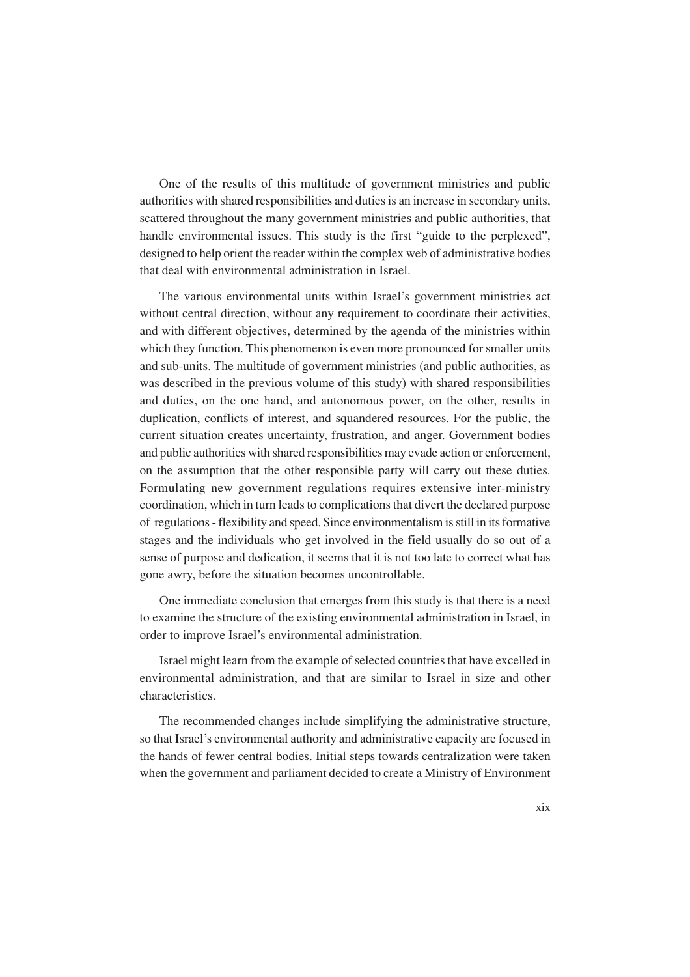One of the results of this multitude of government ministries and public authorities with shared responsibilities and duties is an increase in secondary units, scattered throughout the many government ministries and public authorities, that handle environmental issues. This study is the first "guide to the perplexed", designed to help orient the reader within the complex web of administrative bodies that deal with environmental administration in Israel.

The various environmental units within Israel's government ministries act without central direction, without any requirement to coordinate their activities, and with different objectives, determined by the agenda of the ministries within which they function. This phenomenon is even more pronounced for smaller units and sub-units. The multitude of government ministries (and public authorities, as was described in the previous volume of this study) with shared responsibilities and duties, on the one hand, and autonomous power, on the other, results in duplication, conflicts of interest, and squandered resources. For the public, the current situation creates uncertainty, frustration, and anger. Government bodies and public authorities with shared responsibilities may evade action or enforcement, on the assumption that the other responsible party will carry out these duties. Formulating new government regulations requires extensive inter-ministry coordination, which in turn leads to complications that divert the declared purpose of regulations - flexibility and speed. Since environmentalism is still in its formative stages and the individuals who get involved in the field usually do so out of a sense of purpose and dedication, it seems that it is not too late to correct what has gone awry, before the situation becomes uncontrollable.

One immediate conclusion that emerges from this study is that there is a need to examine the structure of the existing environmental administration in Israel, in order to improve Israel's environmental administration.

Israel might learn from the example of selected countries that have excelled in environmental administration, and that are similar to Israel in size and other characteristics.

The recommended changes include simplifying the administrative structure, so that Israel's environmental authority and administrative capacity are focused in the hands of fewer central bodies. Initial steps towards centralization were taken when the government and parliament decided to create a Ministry of Environment